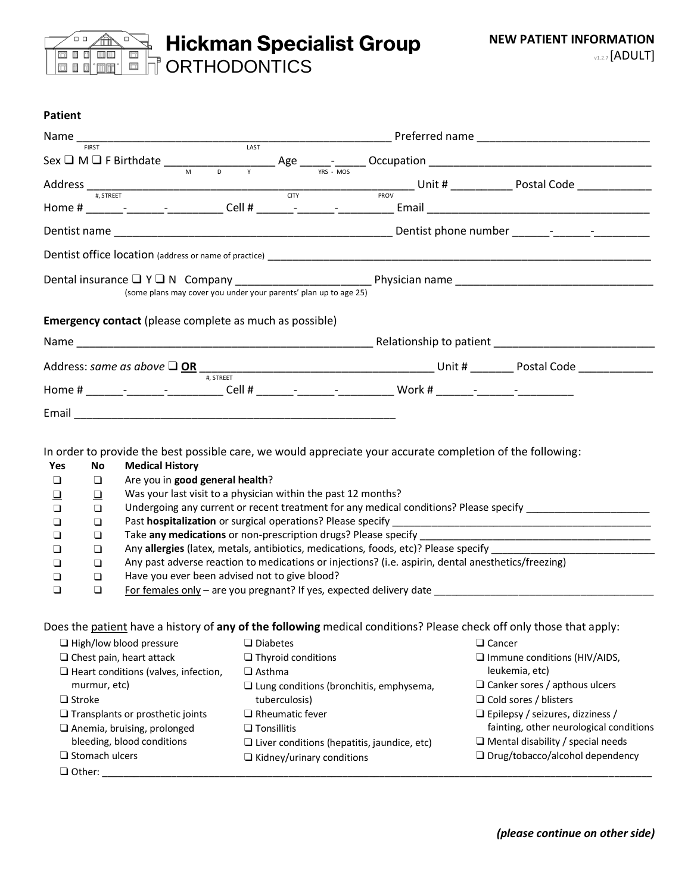

| rauciil                                     |                                                                |                                                                                                            |  |                                                                                                                                                                                                                                                                                                                                                   |  |  |
|---------------------------------------------|----------------------------------------------------------------|------------------------------------------------------------------------------------------------------------|--|---------------------------------------------------------------------------------------------------------------------------------------------------------------------------------------------------------------------------------------------------------------------------------------------------------------------------------------------------|--|--|
|                                             |                                                                | $\frac{1}{\text{LAST}}$                                                                                    |  |                                                                                                                                                                                                                                                                                                                                                   |  |  |
|                                             | <b>FIRST</b>                                                   |                                                                                                            |  |                                                                                                                                                                                                                                                                                                                                                   |  |  |
|                                             |                                                                |                                                                                                            |  |                                                                                                                                                                                                                                                                                                                                                   |  |  |
|                                             |                                                                |                                                                                                            |  | $Address \frac{1}{\# SIREET}$ $\frac{1}{\# SIREET}$ $\frac{1}{\# SIREET}$ $\frac{1}{\# SIREET}$ $\frac{1}{\# SIN}$ $\frac{1}{\# SIN}$ $\frac{1}{\# SIN}$ $\frac{1}{\# SIN}$ $\frac{1}{\# SIN}$ $\frac{1}{\# SIN}$ $\frac{1}{\# SIN}$ $\frac{1}{\# SIN}$ $\frac{1}{\# SIN}$ $\frac{1}{\# SIN}$ $\frac{1}{\# SIN}$ $\frac{1}{\# SIN}$ $\frac{1}{\#$ |  |  |
|                                             |                                                                |                                                                                                            |  |                                                                                                                                                                                                                                                                                                                                                   |  |  |
|                                             |                                                                |                                                                                                            |  |                                                                                                                                                                                                                                                                                                                                                   |  |  |
|                                             |                                                                |                                                                                                            |  |                                                                                                                                                                                                                                                                                                                                                   |  |  |
|                                             |                                                                | (some plans may cover you under your parents' plan up to age 25)                                           |  |                                                                                                                                                                                                                                                                                                                                                   |  |  |
|                                             | <b>Emergency contact</b> (please complete as much as possible) |                                                                                                            |  |                                                                                                                                                                                                                                                                                                                                                   |  |  |
|                                             |                                                                |                                                                                                            |  |                                                                                                                                                                                                                                                                                                                                                   |  |  |
|                                             |                                                                |                                                                                                            |  |                                                                                                                                                                                                                                                                                                                                                   |  |  |
|                                             |                                                                | #. STREET                                                                                                  |  |                                                                                                                                                                                                                                                                                                                                                   |  |  |
|                                             |                                                                |                                                                                                            |  |                                                                                                                                                                                                                                                                                                                                                   |  |  |
| Yes                                         | No.<br><b>Medical History</b>                                  | In order to provide the best possible care, we would appreciate your accurate completion of the following: |  |                                                                                                                                                                                                                                                                                                                                                   |  |  |
| $\Box$                                      | Are you in good general health?<br>❏                           |                                                                                                            |  |                                                                                                                                                                                                                                                                                                                                                   |  |  |
| ❏                                           | $\Box$                                                         | Was your last visit to a physician within the past 12 months?                                              |  |                                                                                                                                                                                                                                                                                                                                                   |  |  |
| $\Box$                                      | ❏                                                              | Undergoing any current or recent treatment for any medical conditions? Please specify                      |  |                                                                                                                                                                                                                                                                                                                                                   |  |  |
| ❏                                           | ❏                                                              |                                                                                                            |  |                                                                                                                                                                                                                                                                                                                                                   |  |  |
| ❏                                           | $\Box$                                                         | Take any medications or non-prescription drugs? Please specify ____                                        |  | the control of the control of the control of the control of the control of the control of                                                                                                                                                                                                                                                         |  |  |
| ❏                                           | ❏                                                              | Any allergies (latex, metals, antibiotics, medications, foods, etc)? Please specify                        |  |                                                                                                                                                                                                                                                                                                                                                   |  |  |
| ❏                                           | $\Box$                                                         | Any past adverse reaction to medications or injections? (i.e. aspirin, dental anesthetics/freezing)        |  |                                                                                                                                                                                                                                                                                                                                                   |  |  |
| ❏                                           | $\Box$                                                         | Have you ever been advised not to give blood?                                                              |  |                                                                                                                                                                                                                                                                                                                                                   |  |  |
| ❏                                           | ❏                                                              |                                                                                                            |  | For females only – are you pregnant? If yes, expected delivery date                                                                                                                                                                                                                                                                               |  |  |
|                                             |                                                                |                                                                                                            |  | Does the patient have a history of any of the following medical conditions? Please check off only those that apply:                                                                                                                                                                                                                               |  |  |
|                                             | $\Box$ High/low blood pressure                                 | $\square$ Diabetes                                                                                         |  | $\Box$ Cancer                                                                                                                                                                                                                                                                                                                                     |  |  |
| $\Box$ Chest pain, heart attack             |                                                                | $\Box$ Thyroid conditions                                                                                  |  | $\Box$ Immune conditions (HIV/AIDS,                                                                                                                                                                                                                                                                                                               |  |  |
| $\Box$ Heart conditions (valves, infection, |                                                                | $\Box$ Asthma                                                                                              |  | leukemia, etc)                                                                                                                                                                                                                                                                                                                                    |  |  |
| murmur, etc)                                |                                                                | $\square$ Lung conditions (bronchitis, emphysema,                                                          |  | $\Box$ Canker sores / apthous ulcers                                                                                                                                                                                                                                                                                                              |  |  |
| $\Box$ Stroke                               |                                                                | tuberculosis)                                                                                              |  | $\Box$ Cold sores / blisters                                                                                                                                                                                                                                                                                                                      |  |  |
|                                             | $\Box$ Transplants or prosthetic joints                        | $\Box$ Rheumatic fever                                                                                     |  | $\Box$ Epilepsy / seizures, dizziness /                                                                                                                                                                                                                                                                                                           |  |  |
|                                             | Anemia, bruising, prolonged                                    | $\Box$ Tonsillitis                                                                                         |  | fainting, other neurological conditions                                                                                                                                                                                                                                                                                                           |  |  |
|                                             | bleeding, blood conditions                                     | $\Box$ Liver conditions (hepatitis, jaundice, etc)                                                         |  | $\Box$ Mental disability / special needs                                                                                                                                                                                                                                                                                                          |  |  |
|                                             | $\Box$ Stomach ulcers                                          | $\Box$ Kidney/urinary conditions                                                                           |  | $\Box$ Drug/tobacco/alcohol dependency                                                                                                                                                                                                                                                                                                            |  |  |
|                                             | $\Box$ Other: $\Box$                                           |                                                                                                            |  |                                                                                                                                                                                                                                                                                                                                                   |  |  |